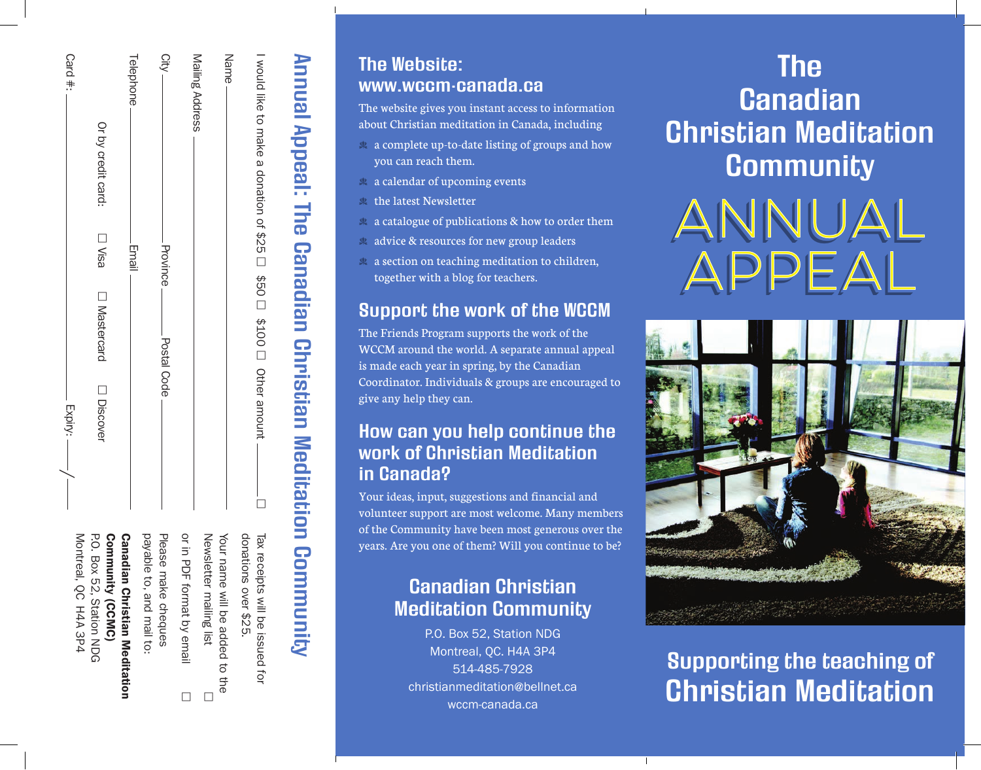| Card #:<br>Expiry:   | Or by credit card:<br>⊟ Visa<br>□ Mastercard<br>□ Discover | Telephone<br>Email                   | <b>City</b><br>Province<br>Postal Code |                    | Mailing Address<br>Name        | I would like to make a donation of \$25 □ \$50 □ \$100 □ Other amount |
|----------------------|------------------------------------------------------------|--------------------------------------|----------------------------------------|--------------------|--------------------------------|-----------------------------------------------------------------------|
| Montreal, QC H4A 3P4 | Community (CCMC)                                           | payable to, and mail to:             | Please                                 | or in PI           | Newsletter mailing list        | donations o <er \$25.<="" td=""></er>                                 |
|                      | <b>P.O. Box 22, Station NDG</b>                            | <b>Canadian Christian Meditation</b> | make cheques                           | DF format by email | Your name will be added to the | Tax receipts will be issued for                                       |

Annual Appeal: The Canadian Christian Meditation Community

Annual Appeal: The Canadian Christian Meditation Community

# The Website: www.wccm-canada.ca

The website gives you instant access to information about Christian meditation in Canada, including

- $\triangleq$  a complete up-to-date listing of groups and how you can reach them.
- $\triangle$  a calendar of upcoming events
- $\triangle$  the latest Newsletter
- $\&$  a catalogue of publications  $\&$  how to order them
- $\&$  advice  $\&$  resources for new group leaders
- $\&$  a section on teaching meditation to children, together with a blog for teachers.

# Support the work of the WCCM

The Friends Program supports the work of the WCCM around the world. A separate annual appeal is made each year in spring, by the Canadian Coordinator. Individuals & groups are encouraged to give any help they can.

## How can you help continue the work of Christian Meditation in Canada?

Your ideas, input, suggestions and financial and volunteer support are most welcome. Many members of the Community have been most generous over the years. Are you one of them? Will you continue to be?

# Canadian Christian Meditation Community

P.O. Box 52, Station NDG Montreal, QC. H4A 3P4 514-485-7928 christianmeditation@bellnet.ca wccm-canada.ca

Τ

# The **Canadian** Christian Meditation **Community**





# Supporting the teaching of Christian Meditation